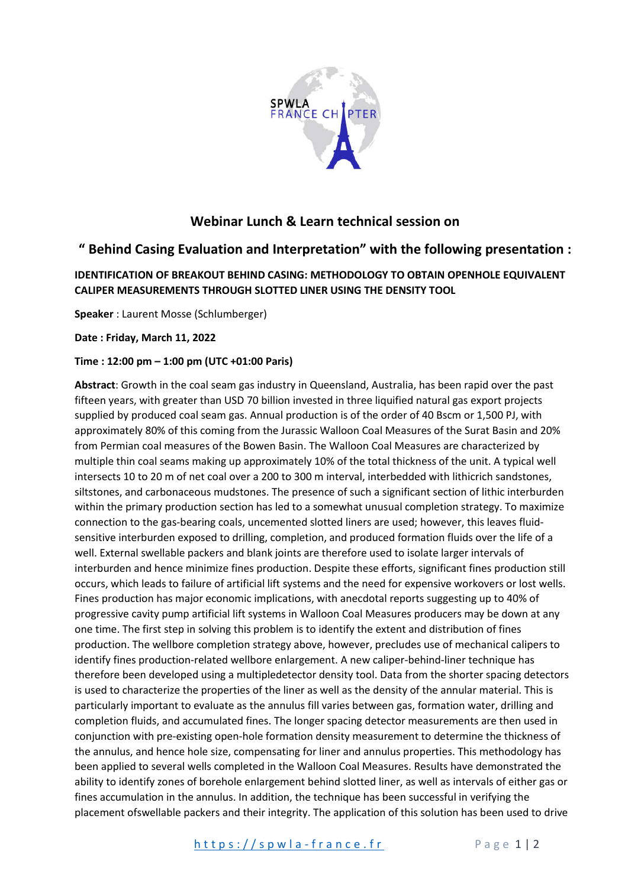

## **Webinar Lunch & Learn technical session on**

## **" Behind Casing Evaluation and Interpretation" with the following presentation :**

## **IDENTIFICATION OF BREAKOUT BEHIND CASING: METHODOLOGY TO OBTAIN OPENHOLE EQUIVALENT CALIPER MEASUREMENTS THROUGH SLOTTED LINER USING THE DENSITY TOOL**

**Speaker** : Laurent Mosse (Schlumberger)

**Date : Friday, March 11, 2022**

## **Time : 12:00 pm – 1:00 pm (UTC +01:00 Paris)**

**Abstract**: Growth in the coal seam gas industry in Queensland, Australia, has been rapid over the past fifteen years, with greater than USD 70 billion invested in three liquified natural gas export projects supplied by produced coal seam gas. Annual production is of the order of 40 Bscm or 1,500 PJ, with approximately 80% of this coming from the Jurassic Walloon Coal Measures of the Surat Basin and 20% from Permian coal measures of the Bowen Basin. The Walloon Coal Measures are characterized by multiple thin coal seams making up approximately 10% of the total thickness of the unit. A typical well intersects 10 to 20 m of net coal over a 200 to 300 m interval, interbedded with lithicrich sandstones, siltstones, and carbonaceous mudstones. The presence of such a significant section of lithic interburden within the primary production section has led to a somewhat unusual completion strategy. To maximize connection to the gas-bearing coals, uncemented slotted liners are used; however, this leaves fluidsensitive interburden exposed to drilling, completion, and produced formation fluids over the life of a well. External swellable packers and blank joints are therefore used to isolate larger intervals of interburden and hence minimize fines production. Despite these efforts, significant fines production still occurs, which leads to failure of artificial lift systems and the need for expensive workovers or lost wells. Fines production has major economic implications, with anecdotal reports suggesting up to 40% of progressive cavity pump artificial lift systems in Walloon Coal Measures producers may be down at any one time. The first step in solving this problem is to identify the extent and distribution of fines production. The wellbore completion strategy above, however, precludes use of mechanical calipers to identify fines production-related wellbore enlargement. A new caliper-behind-liner technique has therefore been developed using a multipledetector density tool. Data from the shorter spacing detectors is used to characterize the properties of the liner as well as the density of the annular material. This is particularly important to evaluate as the annulus fill varies between gas, formation water, drilling and completion fluids, and accumulated fines. The longer spacing detector measurements are then used in conjunction with pre-existing open-hole formation density measurement to determine the thickness of the annulus, and hence hole size, compensating for liner and annulus properties. This methodology has been applied to several wells completed in the Walloon Coal Measures. Results have demonstrated the ability to identify zones of borehole enlargement behind slotted liner, as well as intervals of either gas or fines accumulation in the annulus. In addition, the technique has been successful in verifying the placement ofswellable packers and their integrity. The application of this solution has been used to drive